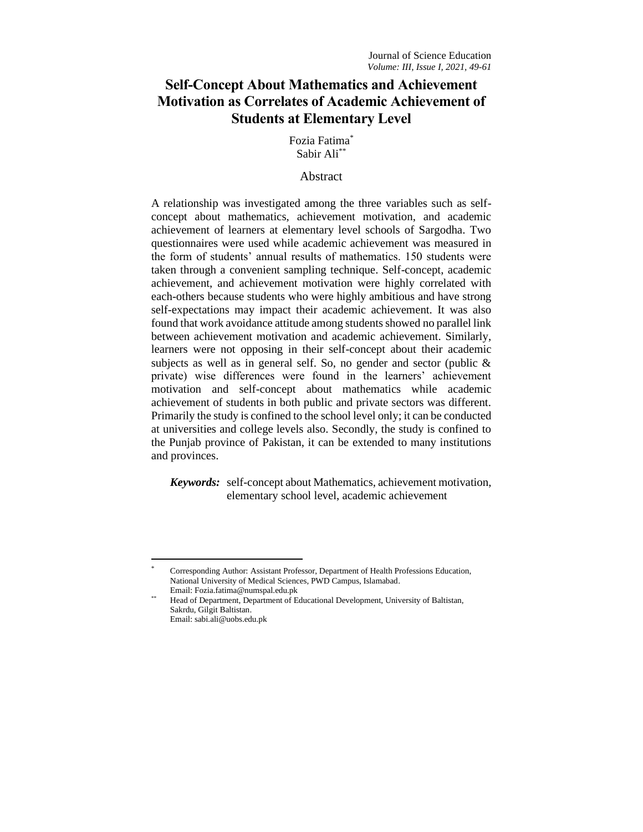# **Self-Concept About Mathematics and Achievement Motivation as Correlates of Academic Achievement of Students at Elementary Level**

Fozia Fatima\* Sabir Ali\*\*

# Abstract

A relationship was investigated among the three variables such as selfconcept about mathematics, achievement motivation, and academic achievement of learners at elementary level schools of Sargodha. Two questionnaires were used while academic achievement was measured in the form of students' annual results of mathematics. 150 students were taken through a convenient sampling technique. Self-concept, academic achievement, and achievement motivation were highly correlated with each-others because students who were highly ambitious and have strong self-expectations may impact their academic achievement. It was also found that work avoidance attitude among students showed no parallel link between achievement motivation and academic achievement. Similarly, learners were not opposing in their self-concept about their academic subjects as well as in general self. So, no gender and sector (public & private) wise differences were found in the learners' achievement motivation and self-concept about mathematics while academic achievement of students in both public and private sectors was different. Primarily the study is confined to the school level only; it can be conducted at universities and college levels also. Secondly, the study is confined to the Punjab province of Pakistan, it can be extended to many institutions and provinces.

*Keywords:* self-concept about Mathematics, achievement motivation, elementary school level, academic achievement

<sup>\*</sup> Corresponding Author: Assistant Professor, Department of Health Professions Education, National University of Medical Sciences, PWD Campus, Islamabad. Email: Fozia.fatima@numspal.edu.pk

Head of Department, Department of Educational Development, University of Baltistan, Sakrdu, Gilgit Baltistan. Email: sabi.ali@uobs.edu.pk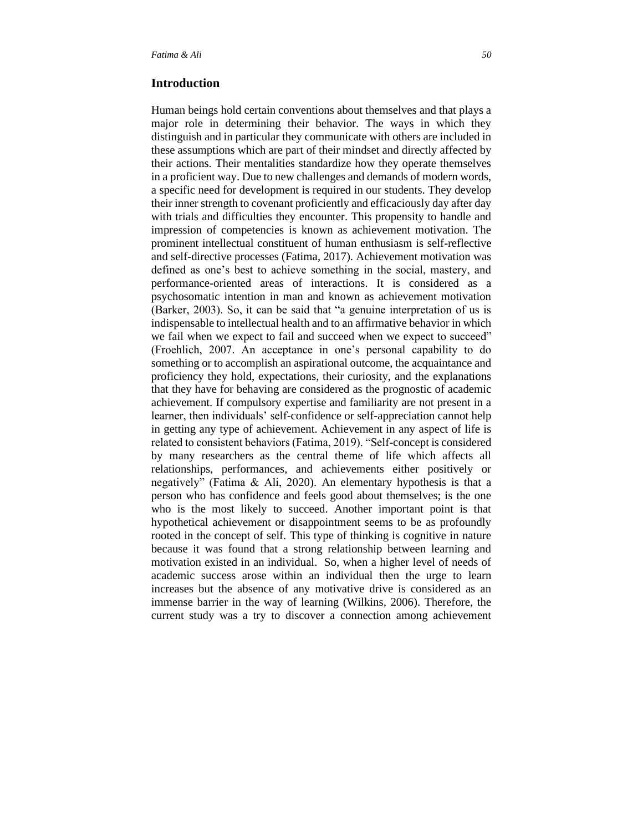### **Introduction**

Human beings hold certain conventions about themselves and that plays a major role in determining their behavior. The ways in which they distinguish and in particular they communicate with others are included in these assumptions which are part of their mindset and directly affected by their actions. Their mentalities standardize how they operate themselves in a proficient way. Due to new challenges and demands of modern words, a specific need for development is required in our students. They develop their inner strength to covenant proficiently and efficaciously day after day with trials and difficulties they encounter. This propensity to handle and impression of competencies is known as achievement motivation. The prominent intellectual constituent of human enthusiasm is self-reflective and self-directive processes (Fatima, 2017). Achievement motivation was defined as one's best to achieve something in the social, mastery, and performance-oriented areas of interactions. It is considered as a psychosomatic intention in man and known as achievement motivation (Barker, 2003). So, it can be said that "a genuine interpretation of us is indispensable to intellectual health and to an affirmative behavior in which we fail when we expect to fail and succeed when we expect to succeed" (Froehlich, 2007. An acceptance in one's personal capability to do something or to accomplish an aspirational outcome, the acquaintance and proficiency they hold, expectations, their curiosity, and the explanations that they have for behaving are considered as the prognostic of academic achievement. If compulsory expertise and familiarity are not present in a learner, then individuals' self-confidence or self-appreciation cannot help in getting any type of achievement. Achievement in any aspect of life is related to consistent behaviors (Fatima, 2019). "Self-concept is considered by many researchers as the central theme of life which affects all relationships, performances, and achievements either positively or negatively" (Fatima & Ali, 2020). An elementary hypothesis is that a person who has confidence and feels good about themselves; is the one who is the most likely to succeed. Another important point is that hypothetical achievement or disappointment seems to be as profoundly rooted in the concept of self. This type of thinking is cognitive in nature because it was found that a strong relationship between learning and motivation existed in an individual. So, when a higher level of needs of academic success arose within an individual then the urge to learn increases but the absence of any motivative drive is considered as an immense barrier in the way of learning (Wilkins, 2006). Therefore, the current study was a try to discover a connection among achievement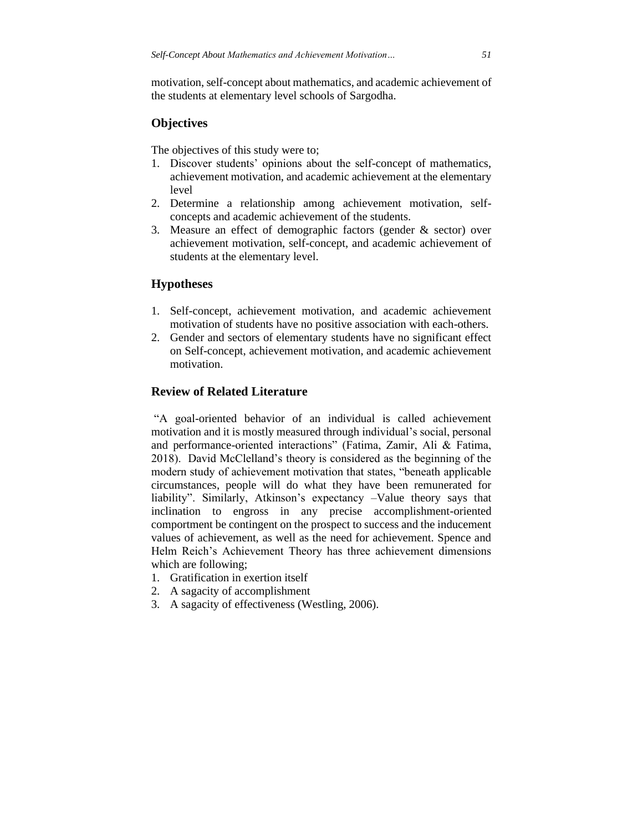motivation, self-concept about mathematics, and academic achievement of the students at elementary level schools of Sargodha.

# **Objectives**

The objectives of this study were to;

- 1. Discover students' opinions about the self-concept of mathematics, achievement motivation, and academic achievement at the elementary level
- 2. Determine a relationship among achievement motivation, selfconcepts and academic achievement of the students.
- 3. Measure an effect of demographic factors (gender & sector) over achievement motivation, self-concept, and academic achievement of students at the elementary level.

### **Hypotheses**

- 1. Self-concept, achievement motivation, and academic achievement motivation of students have no positive association with each-others.
- 2. Gender and sectors of elementary students have no significant effect on Self-concept, achievement motivation, and academic achievement motivation.

### **Review of Related Literature**

"A goal-oriented behavior of an individual is called achievement motivation and it is mostly measured through individual's social, personal and performance-oriented interactions" (Fatima, Zamir, Ali & Fatima, 2018). David McClelland's theory is considered as the beginning of the modern study of achievement motivation that states, "beneath applicable circumstances, people will do what they have been remunerated for liability". Similarly, Atkinson's expectancy –Value theory says that inclination to engross in any precise accomplishment-oriented comportment be contingent on the prospect to success and the inducement values of achievement, as well as the need for achievement. Spence and Helm Reich's Achievement Theory has three achievement dimensions which are following;

- 1. Gratification in exertion itself
- 2. A sagacity of accomplishment
- 3. A sagacity of effectiveness (Westling, 2006).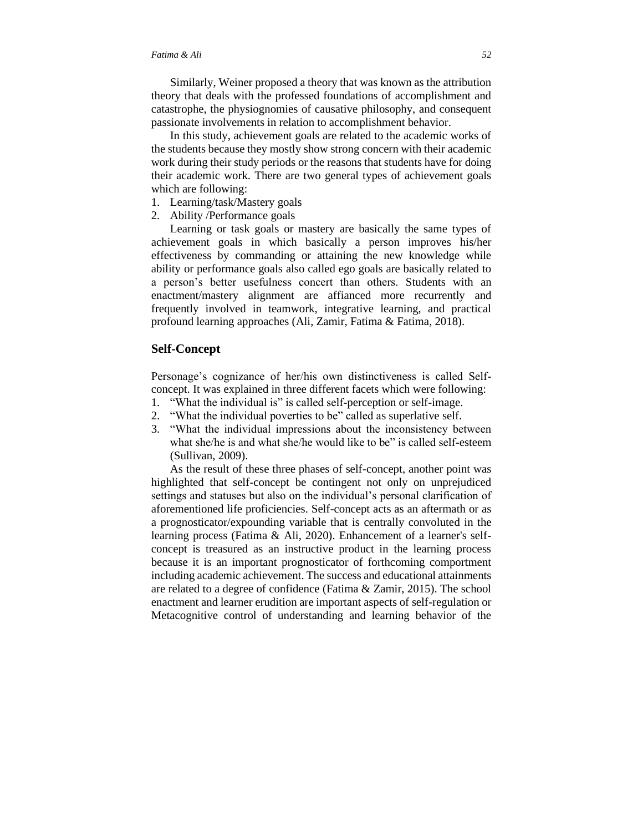Similarly, Weiner proposed a theory that was known as the attribution theory that deals with the professed foundations of accomplishment and catastrophe, the physiognomies of causative philosophy, and consequent passionate involvements in relation to accomplishment behavior.

In this study, achievement goals are related to the academic works of the students because they mostly show strong concern with their academic work during their study periods or the reasons that students have for doing their academic work. There are two general types of achievement goals which are following:

- 1. Learning/task/Mastery goals
- 2. Ability /Performance goals

Learning or task goals or mastery are basically the same types of achievement goals in which basically a person improves his/her effectiveness by commanding or attaining the new knowledge while ability or performance goals also called ego goals are basically related to a person's better usefulness concert than others. Students with an enactment/mastery alignment are affianced more recurrently and frequently involved in teamwork, integrative learning, and practical profound learning approaches (Ali, Zamir, Fatima & Fatima, 2018).

### **Self-Concept**

Personage's cognizance of her/his own distinctiveness is called Selfconcept. It was explained in three different facets which were following:

- 1. "What the individual is" is called self-perception or self-image.
- 2. "What the individual poverties to be" called as superlative self.
- 3. "What the individual impressions about the inconsistency between what she/he is and what she/he would like to be" is called self-esteem (Sullivan, 2009).

As the result of these three phases of self-concept, another point was highlighted that self-concept be contingent not only on unprejudiced settings and statuses but also on the individual's personal clarification of aforementioned life proficiencies. Self-concept acts as an aftermath or as a prognosticator/expounding variable that is centrally convoluted in the learning process (Fatima & Ali, 2020). Enhancement of a learner's selfconcept is treasured as an instructive product in the learning process because it is an important prognosticator of forthcoming comportment including academic achievement. The success and educational attainments are related to a degree of confidence (Fatima & Zamir, 2015). The school enactment and learner erudition are important aspects of self-regulation or Metacognitive control of understanding and learning behavior of the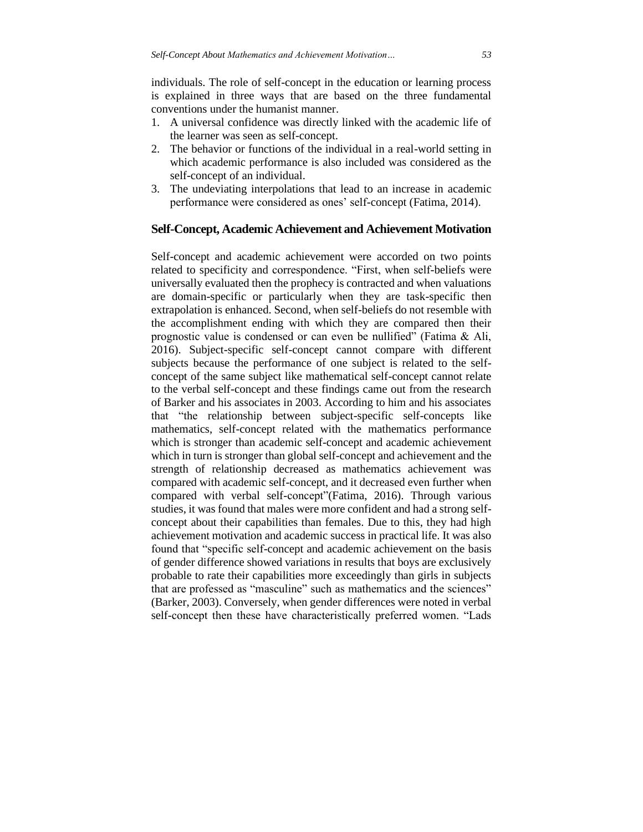individuals. The role of self-concept in the education or learning process is explained in three ways that are based on the three fundamental conventions under the humanist manner.

- 1. A universal confidence was directly linked with the academic life of the learner was seen as self-concept.
- 2. The behavior or functions of the individual in a real-world setting in which academic performance is also included was considered as the self-concept of an individual.
- 3. The undeviating interpolations that lead to an increase in academic performance were considered as ones' self-concept (Fatima, 2014).

### **Self-Concept, Academic Achievement and Achievement Motivation**

Self-concept and academic achievement were accorded on two points related to specificity and correspondence. "First, when self-beliefs were universally evaluated then the prophecy is contracted and when valuations are domain-specific or particularly when they are task-specific then extrapolation is enhanced. Second, when self-beliefs do not resemble with the accomplishment ending with which they are compared then their prognostic value is condensed or can even be nullified" (Fatima & Ali, 2016). Subject-specific self-concept cannot compare with different subjects because the performance of one subject is related to the selfconcept of the same subject like mathematical self-concept cannot relate to the verbal self-concept and these findings came out from the research of Barker and his associates in 2003. According to him and his associates that "the relationship between subject-specific self-concepts like mathematics, self-concept related with the mathematics performance which is stronger than academic self-concept and academic achievement which in turn is stronger than global self-concept and achievement and the strength of relationship decreased as mathematics achievement was compared with academic self-concept, and it decreased even further when compared with verbal self-concept"(Fatima, 2016). Through various studies, it was found that males were more confident and had a strong selfconcept about their capabilities than females. Due to this, they had high achievement motivation and academic success in practical life. It was also found that "specific self-concept and academic achievement on the basis of gender difference showed variations in results that boys are exclusively probable to rate their capabilities more exceedingly than girls in subjects that are professed as "masculine" such as mathematics and the sciences" (Barker, 2003). Conversely, when gender differences were noted in verbal self-concept then these have characteristically preferred women. "Lads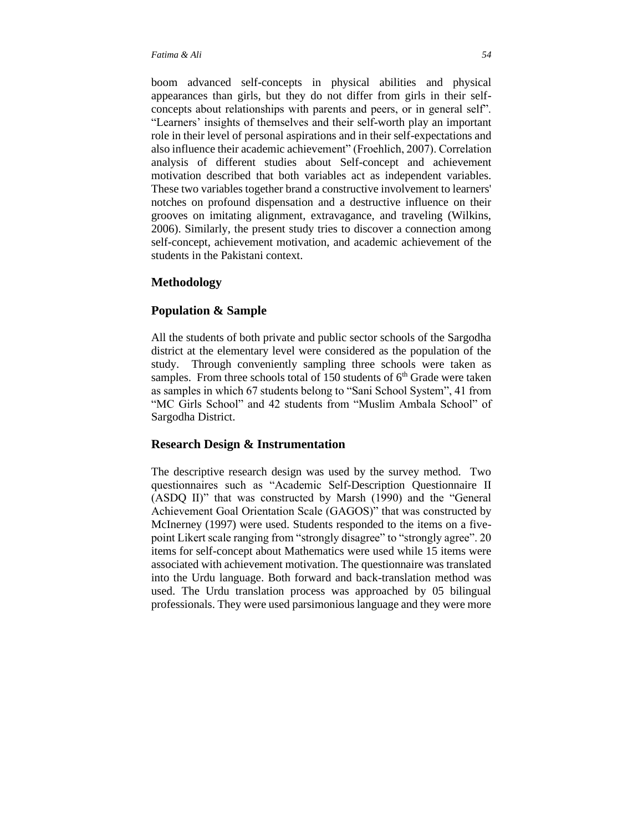concepts about relationships with parents and peers, or in general self". "Learners' insights of themselves and their self-worth play an important role in their level of personal aspirations and in their self-expectations and also influence their academic achievement" (Froehlich, 2007). Correlation analysis of different studies about Self-concept and achievement motivation described that both variables act as independent variables. These two variables together brand a constructive involvement to learners' notches on profound dispensation and a destructive influence on their grooves on imitating alignment, extravagance, and traveling (Wilkins, 2006). Similarly, the present study tries to discover a connection among self-concept, achievement motivation, and academic achievement of the students in the Pakistani context.

# **Methodology**

# **Population & Sample**

All the students of both private and public sector schools of the Sargodha district at the elementary level were considered as the population of the study. Through conveniently sampling three schools were taken as samples. From three schools total of 150 students of  $6<sup>th</sup>$  Grade were taken as samples in which 67 students belong to "Sani School System", 41 from "MC Girls School" and 42 students from "Muslim Ambala School" of Sargodha District.

# **Research Design & Instrumentation**

The descriptive research design was used by the survey method. Two questionnaires such as "Academic Self-Description Questionnaire II (ASDQ II)" that was constructed by Marsh (1990) and the "General Achievement Goal Orientation Scale (GAGOS)" that was constructed by McInerney (1997) were used. Students responded to the items on a fivepoint Likert scale ranging from "strongly disagree" to "strongly agree". 20 items for self-concept about Mathematics were used while 15 items were associated with achievement motivation. The questionnaire was translated into the Urdu language. Both forward and back-translation method was used. The Urdu translation process was approached by 05 bilingual professionals. They were used parsimonious language and they were more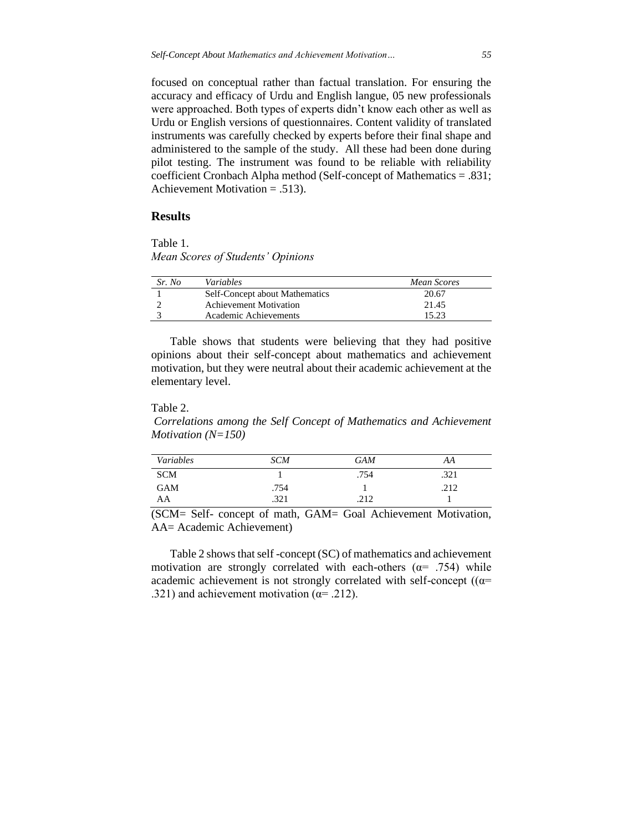focused on conceptual rather than factual translation. For ensuring the accuracy and efficacy of Urdu and English langue, 05 new professionals were approached. Both types of experts didn't know each other as well as Urdu or English versions of questionnaires. Content validity of translated instruments was carefully checked by experts before their final shape and administered to the sample of the study. All these had been done during pilot testing. The instrument was found to be reliable with reliability coefficient Cronbach Alpha method (Self-concept of Mathematics = .831; Achievement Motivation = .513).

#### **Results**

Table 1. *Mean Scores of Students' Opinions* 

| Sr. No | Variables                      | Mean Scores |
|--------|--------------------------------|-------------|
|        | Self-Concept about Mathematics | 20.67       |
|        | <b>Achievement Motivation</b>  | 21.45       |
|        | Academic Achievements          | 15.23       |

Table shows that students were believing that they had positive opinions about their self-concept about mathematics and achievement motivation, but they were neutral about their academic achievement at the elementary level.

#### Table 2.

*Correlations among the Self Concept of Mathematics and Achievement Motivation (N=150)*

| Variables  | <b>SCM</b> | <b>GAM</b> | AA   |
|------------|------------|------------|------|
| <b>SCM</b> |            | .754       | .321 |
| <b>GAM</b> | .754       |            | .212 |
| AA         | .321       | .212       |      |

(SCM= Self- concept of math, GAM= Goal Achievement Motivation, AA= Academic Achievement)

Table 2 shows that self -concept (SC) of mathematics and achievement motivation are strongly correlated with each-others ( $\alpha$ = .754) while academic achievement is not strongly correlated with self-concept ( $(a=$ .321) and achievement motivation ( $\alpha$ = .212).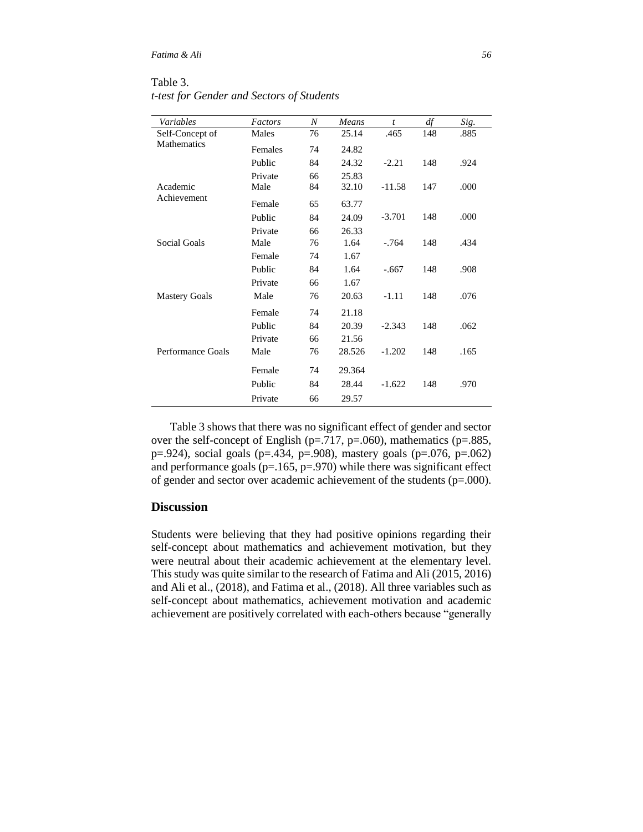Table 3. *t-test for Gender and Sectors of Students*

| Variables                             | Factors | N  | Means  | $\boldsymbol{t}$ |           | Sig. |
|---------------------------------------|---------|----|--------|------------------|-----------|------|
|                                       | Males   | 76 | 25.14  | .465             | df<br>148 | .885 |
| Self-Concept of<br><b>Mathematics</b> |         |    |        |                  |           |      |
|                                       | Females | 74 | 24.82  |                  |           |      |
|                                       | Public  | 84 | 24.32  | $-2.21$          | 148       | .924 |
|                                       | Private | 66 | 25.83  |                  |           |      |
| Academic                              | Male    | 84 | 32.10  | $-11.58$         | 147       | .000 |
| Achievement                           | Female  | 65 | 63.77  |                  |           |      |
|                                       | Public  | 84 | 24.09  | $-3.701$         | 148       | .000 |
|                                       | Private | 66 | 26.33  |                  |           |      |
| Social Goals                          | Male    | 76 | 1.64   | $-764$           | 148       | .434 |
|                                       | Female  | 74 | 1.67   |                  |           |      |
|                                       | Public  | 84 | 1.64   | $-.667$          | 148       | .908 |
|                                       | Private | 66 | 1.67   |                  |           |      |
| <b>Mastery Goals</b>                  | Male    | 76 | 20.63  | $-1.11$          | 148       | .076 |
|                                       | Female  | 74 | 21.18  |                  |           |      |
|                                       | Public  | 84 | 20.39  | $-2.343$         | 148       | .062 |
|                                       | Private | 66 | 21.56  |                  |           |      |
| Performance Goals                     | Male    | 76 | 28.526 | $-1.202$         | 148       | .165 |
|                                       | Female  | 74 | 29.364 |                  |           |      |
|                                       | Public  | 84 | 28.44  | $-1.622$         | 148       | .970 |
|                                       | Private | 66 | 29.57  |                  |           |      |

Table 3 shows that there was no significant effect of gender and sector over the self-concept of English ( $p=.717$ ,  $p=.060$ ), mathematics ( $p=.885$ , p=.924), social goals (p=.434, p=.908), mastery goals (p=.076, p=.062) and performance goals ( $p=165$ ,  $p=970$ ) while there was significant effect of gender and sector over academic achievement of the students (p=.000).

## **Discussion**

Students were believing that they had positive opinions regarding their self-concept about mathematics and achievement motivation, but they were neutral about their academic achievement at the elementary level. This study was quite similar to the research of Fatima and Ali (2015, 2016) and Ali et al., (2018), and Fatima et al., (2018). All three variables such as self-concept about mathematics, achievement motivation and academic achievement are positively correlated with each-others because "generally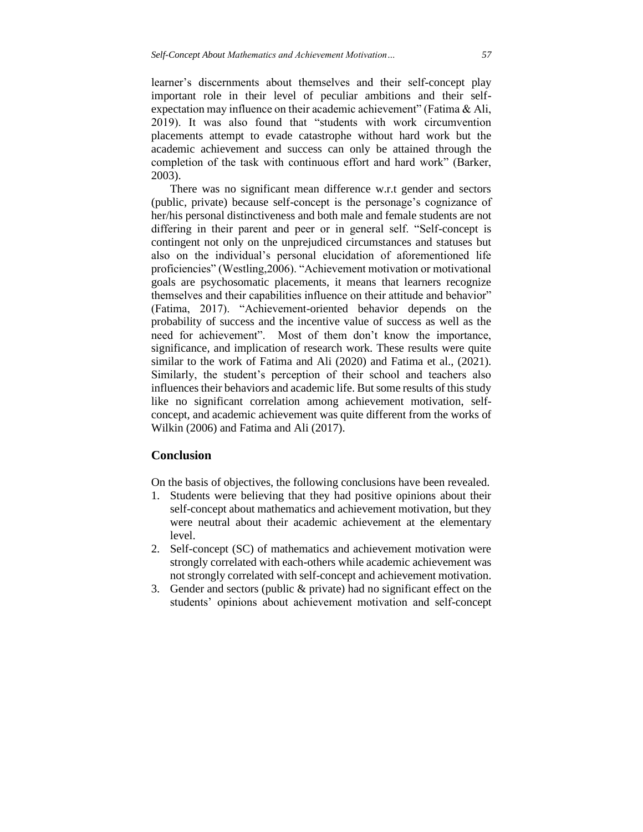learner's discernments about themselves and their self-concept play important role in their level of peculiar ambitions and their selfexpectation may influence on their academic achievement" (Fatima & Ali, 2019). It was also found that "students with work circumvention placements attempt to evade catastrophe without hard work but the academic achievement and success can only be attained through the completion of the task with continuous effort and hard work" (Barker, 2003).

There was no significant mean difference w.r.t gender and sectors (public, private) because self-concept is the personage's cognizance of her/his personal distinctiveness and both male and female students are not differing in their parent and peer or in general self. "Self-concept is contingent not only on the unprejudiced circumstances and statuses but also on the individual's personal elucidation of aforementioned life proficiencies" (Westling,2006). "Achievement motivation or motivational goals are psychosomatic placements, it means that learners recognize themselves and their capabilities influence on their attitude and behavior" (Fatima, 2017). "Achievement-oriented behavior depends on the probability of success and the incentive value of success as well as the need for achievement". Most of them don't know the importance, significance, and implication of research work. These results were quite similar to the work of Fatima and Ali (2020) and Fatima et al., (2021). Similarly, the student's perception of their school and teachers also influences their behaviors and academic life. But some results of this study like no significant correlation among achievement motivation, selfconcept, and academic achievement was quite different from the works of Wilkin (2006) and Fatima and Ali (2017).

### **Conclusion**

On the basis of objectives, the following conclusions have been revealed.

- 1. Students were believing that they had positive opinions about their self-concept about mathematics and achievement motivation, but they were neutral about their academic achievement at the elementary level.
- 2. Self-concept (SC) of mathematics and achievement motivation were strongly correlated with each-others while academic achievement was not strongly correlated with self-concept and achievement motivation.
- 3. Gender and sectors (public & private) had no significant effect on the students' opinions about achievement motivation and self-concept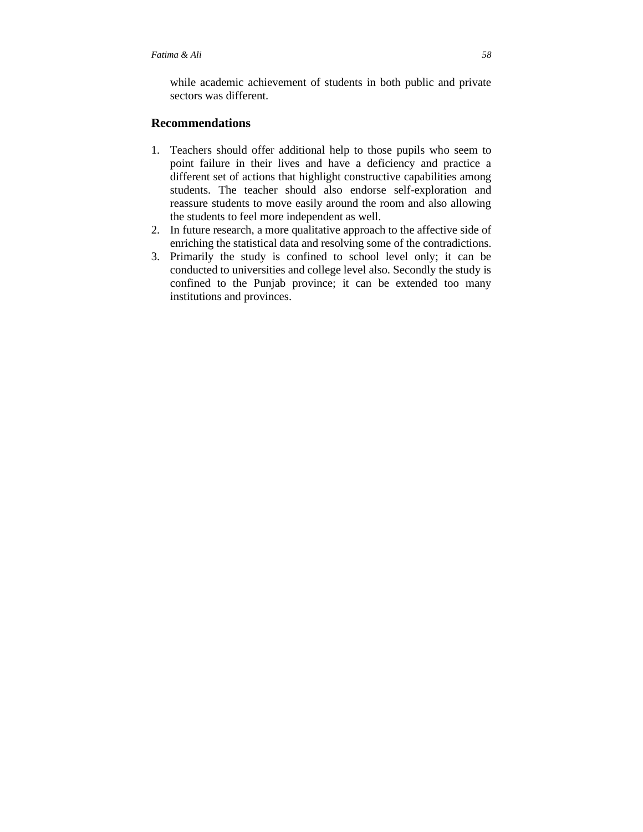while academic achievement of students in both public and private sectors was different.

### **Recommendations**

- 1. Teachers should offer additional help to those pupils who seem to point failure in their lives and have a deficiency and practice a different set of actions that highlight constructive capabilities among students. The teacher should also endorse self-exploration and reassure students to move easily around the room and also allowing the students to feel more independent as well.
- 2. In future research, a more qualitative approach to the affective side of enriching the statistical data and resolving some of the contradictions.
- 3. Primarily the study is confined to school level only; it can be conducted to universities and college level also. Secondly the study is confined to the Punjab province; it can be extended too many institutions and provinces.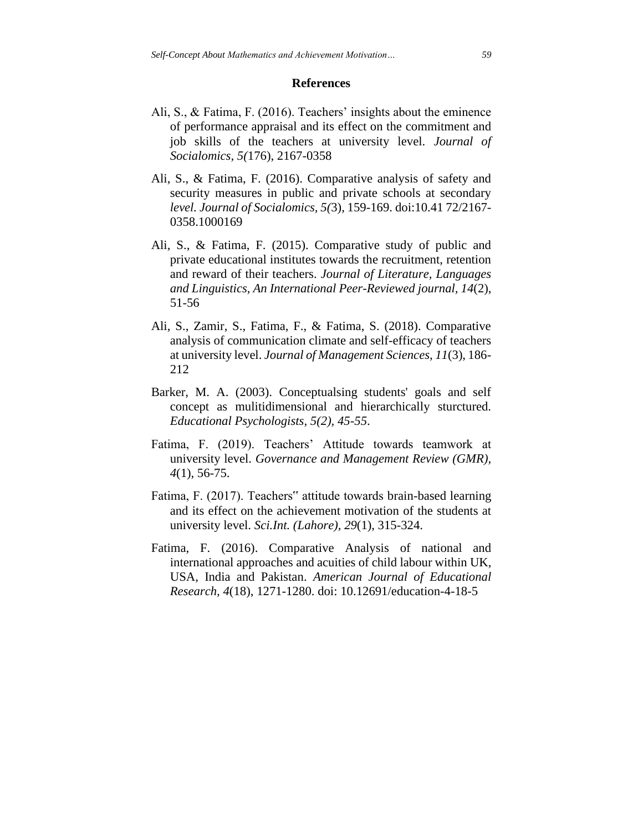### **References**

- Ali, S., & Fatima, F. (2016). Teachers' insights about the eminence of performance appraisal and its effect on the commitment and job skills of the teachers at university level. *Journal of Socialomics, 5(*176), 2167-0358
- Ali, S., & Fatima, F. (2016). Comparative analysis of safety and security measures in public and private schools at secondary *level. Journal of Socialomics, 5(*3), 159-169. doi:10.41 72/2167- 0358.1000169
- Ali, S., & Fatima, F. (2015). Comparative study of public and private educational institutes towards the recruitment, retention and reward of their teachers. *Journal of Literature, Languages and Linguistics, An International Peer-Reviewed journal, 14*(2), 51-56
- Ali, S., Zamir, S., Fatima, F., & Fatima, S. (2018). Comparative analysis of communication climate and self-efficacy of teachers at university level. *Journal of Management Sciences, 11*(3), 186- 212
- Barker, M. A. (2003). Conceptualsing students' goals and self concept as mulitidimensional and hierarchically sturctured. *Educational Psychologists, 5(2), 45-55*.
- Fatima, F. (2019). Teachers' Attitude towards teamwork at university level. *Governance and Management Review (GMR), 4*(1), 56-75.
- Fatima, F. (2017). Teachers" attitude towards brain-based learning and its effect on the achievement motivation of the students at university level. *Sci.Int. (Lahore), 29*(1), 315-324.
- Fatima, F. (2016). Comparative Analysis of national and international approaches and acuities of child labour within UK, USA, India and Pakistan. *American Journal of Educational Research, 4*(18), 1271-1280. doi: 10.12691/education-4-18-5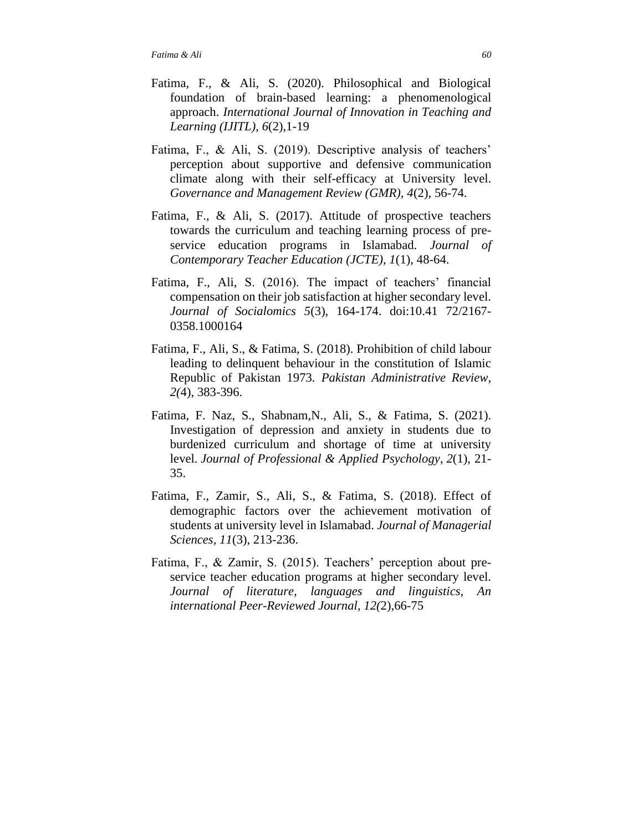- Fatima, F., & Ali, S. (2020). Philosophical and Biological foundation of brain-based learning: a phenomenological approach. *International Journal of Innovation in Teaching and Learning (IJITL), 6*(2),1-19
- Fatima, F., & Ali, S. (2019). Descriptive analysis of teachers' perception about supportive and defensive communication climate along with their self-efficacy at University level. *Governance and Management Review (GMR), 4*(2), 56-74.
- Fatima, F., & Ali, S. (2017). Attitude of prospective teachers towards the curriculum and teaching learning process of preservice education programs in Islamabad. *Journal of Contemporary Teacher Education (JCTE), 1*(1), 48-64.
- Fatima, F., Ali, S. (2016). The impact of teachers' financial compensation on their job satisfaction at higher secondary level. *Journal of Socialomics 5*(3), 164-174. doi:10.41 72/2167- 0358.1000164
- Fatima, F., Ali, S., & Fatima, S. (2018). Prohibition of child labour leading to delinquent behaviour in the constitution of Islamic Republic of Pakistan 1973*. Pakistan Administrative Review, 2(*4), 383-396.
- Fatima, F. Naz, S., Shabnam,N., Ali, S., & Fatima, S. (2021). Investigation of depression and anxiety in students due to burdenized curriculum and shortage of time at university level. *Journal of Professional & Applied Psychology*, *2*(1), 21- 35.
- Fatima, F., Zamir, S., Ali, S., & Fatima, S. (2018). Effect of demographic factors over the achievement motivation of students at university level in Islamabad. *Journal of Managerial Sciences, 11*(3), 213-236.
- Fatima, F., & Zamir, S. (2015). Teachers' perception about preservice teacher education programs at higher secondary level. *Journal of literature, languages and linguistics, An international Peer-Reviewed Journal, 12(*2),66-75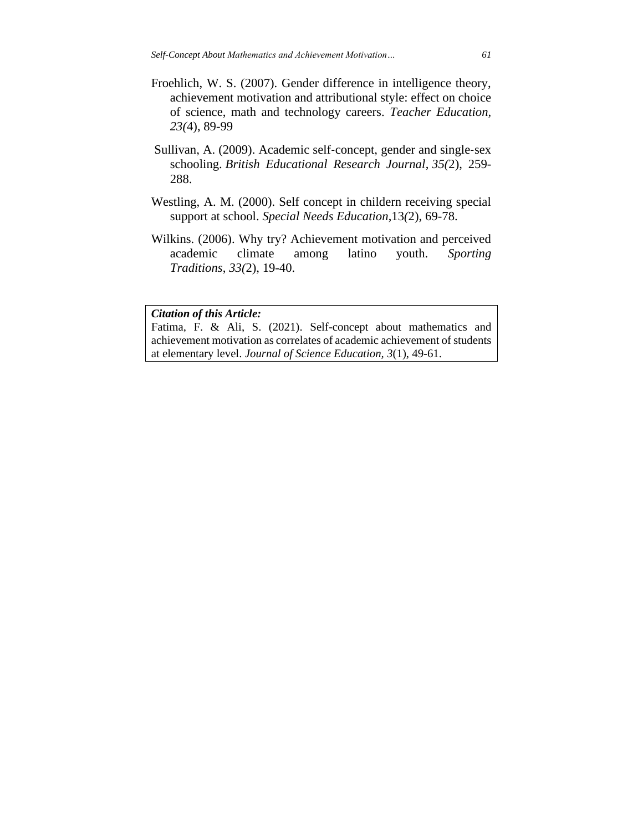- Froehlich, W. S. (2007). Gender difference in intelligence theory, achievement motivation and attributional style: effect on choice of science, math and technology careers. *Teacher Education, 23(*4), 89-99
- Sullivan, A. (2009). Academic self‐concept, gender and single‐sex schooling. *British Educational Research Journal*, *35(*2), 259- 288.
- Westling, A. M. (2000). Self concept in childern receiving special support at school. *Special Needs Education*,13*(*2), 69-78.
- Wilkins. (2006). Why try? Achievement motivation and perceived academic climate among latino youth. *Sporting Traditions*, *33(*2), 19-40.

#### *Citation of this Article:*

Fatima, F. & Ali, S. (2021). Self-concept about mathematics and achievement motivation as correlates of academic achievement of students at elementary level. *Journal of Science Education, 3*(1), 49-61.